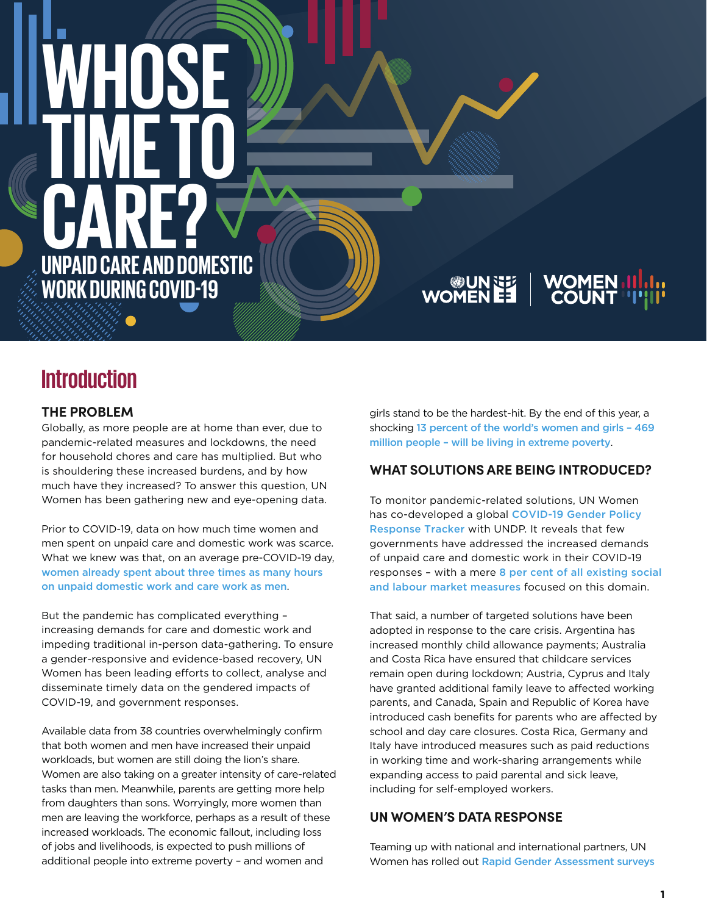# **WHOSE TIME TO CARE? UNPAID CARE AND DOMESTIC WORK DURING COVID-19**

# WOMEN **WOMEN ES UN SEAU**<br>
WOMEN EE

# **Introduction**

## **THE PROBLEM**

Globally, as more people are at home than ever, due to pandemic-related measures and lockdowns, the need for household chores and care has multiplied. But who is shouldering these increased burdens, and by how much have they increased? To answer this question, UN Women has been gathering new and eye-opening data.

Prior to COVID-19, data on how much time women and men spent on unpaid care and domestic work was scarce. What we knew was that, on an average pre-COVID-19 day, [women already spent about three times as many hours](https://www.unwomen.org/-/media/headquarters/attachments/sections/library/publications/2019/progress-of-the-worlds-women-2019-2020-en.pdf?la=en&vs=3512)  [on unpaid domestic work and care work as men](https://www.unwomen.org/-/media/headquarters/attachments/sections/library/publications/2019/progress-of-the-worlds-women-2019-2020-en.pdf?la=en&vs=3512).

But the pandemic has complicated everything – increasing demands for care and domestic work and impeding traditional in-person data-gathering. To ensure a gender-responsive and evidence-based recovery, UN Women has been leading efforts to collect, analyse and disseminate timely data on the gendered impacts of COVID-19, and government responses.

Available data from 38 countries overwhelmingly confirm that both women and men have increased their unpaid workloads, but women are still doing the lion's share. Women are also taking on a greater intensity of care-related tasks than men. Meanwhile, parents are getting more help from daughters than sons. Worryingly, more women than men are leaving the workforce, perhaps as a result of these increased workloads. The economic fallout, including loss of jobs and livelihoods, is expected to push millions of additional people into extreme poverty – and women and

girls stand to be the hardest-hit. By the end of this year, a shocking [13 percent of the world's women and girls – 469](https://data.unwomen.org/features/covid-19-boomerang-effect-new-forecasts-predict-sharp-increases-female-poverty) [million people – will be living in extreme poverty](https://data.unwomen.org/features/covid-19-boomerang-effect-new-forecasts-predict-sharp-increases-female-poverty).

# **WHAT SOLUTIONS ARE BEING INTRODUCED?**

To monitor pandemic-related solutions, UN Women has co-developed a global COVID-19 Gender Policy [Response Tracker](https://data.undp.org/gendertracker/) with UNDP. It reveals that few governments have addressed the increased demands of unpaid care and domestic work in their COVID-19 responses - with a mere [8 per cent of all existing social](https://data.unwomen.org/features/global-gender-response-tracker-assesses-covid-19-measures-women) [and labour market measures](https://data.unwomen.org/features/global-gender-response-tracker-assesses-covid-19-measures-women) focused on this domain.

That said, a number of targeted solutions have been adopted in response to the care crisis. Argentina has increased monthly child allowance payments; Australia and Costa Rica have ensured that childcare services remain open during lockdown; Austria, Cyprus and Italy have granted additional family leave to affected working parents, and Canada, Spain and Republic of Korea have introduced cash benefits for parents who are affected by school and day care closures. Costa Rica, Germany and Italy have introduced measures such as paid reductions in working time and work-sharing arrangements while expanding access to paid parental and sick leave, including for self-employed workers.

## **UN WOMEN'S DATA RESPONSE**

Teaming up with national and international partners, UN Women has rolled out Rapid [Gender Assessment surveys](https://data.unwomen.org/publications/guidance-rapid-gender-assessment-surveys-impacts-covid-19)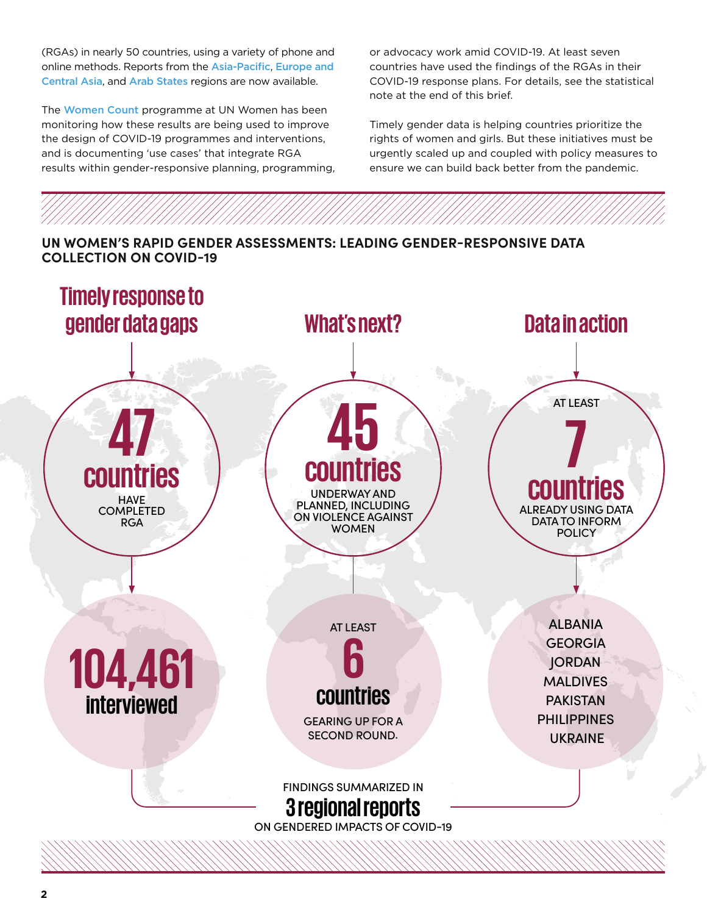(RGAs) in nearly 50 countries, using a variety of phone and online methods. Reports from the [Asia-Pacific](https://data.unwomen.org/publications/unlocking-lockdown-gendered-effects-covid-19-achieving-sdgs-asia-and-pacific), [Europe and](https://data.unwomen.org/publications/impact-covid-19-womens-and-mens-lives-and-livelihoods-europe-and-central-asia)  [Central Asia](https://data.unwomen.org/publications/impact-covid-19-womens-and-mens-lives-and-livelihoods-europe-and-central-asia), and [Arab States](https://arabstates.unwomen.org/en/digital-library/publications/2020/08/brief-the-effects-of-covid-19-on-violence-against-women-and-gendered-social-norms) regions are now available.

The [Women Count](https://data.unwomen.org/women-count) programme at UN Women has been monitoring how these results are being used to improve the design of COVID-19 programmes and interventions, and is documenting 'use cases' that integrate RGA results within gender-responsive planning, programming, or advocacy work amid COVID-19. At least seven countries have used the findings of the RGAs in their COVID-19 response plans. For details, see the statistical note at the end of this brief.

Timely gender data is helping countries prioritize the rights of women and girls. But these initiatives must be urgently scaled up and coupled with policy measures to ensure we can build back better from the pandemic.

### **UN WOMEN'S RAPID GENDER ASSESSMENTS: LEADING GENDER-RESPONSIVE DATA COLLECTION ON COVID-19**

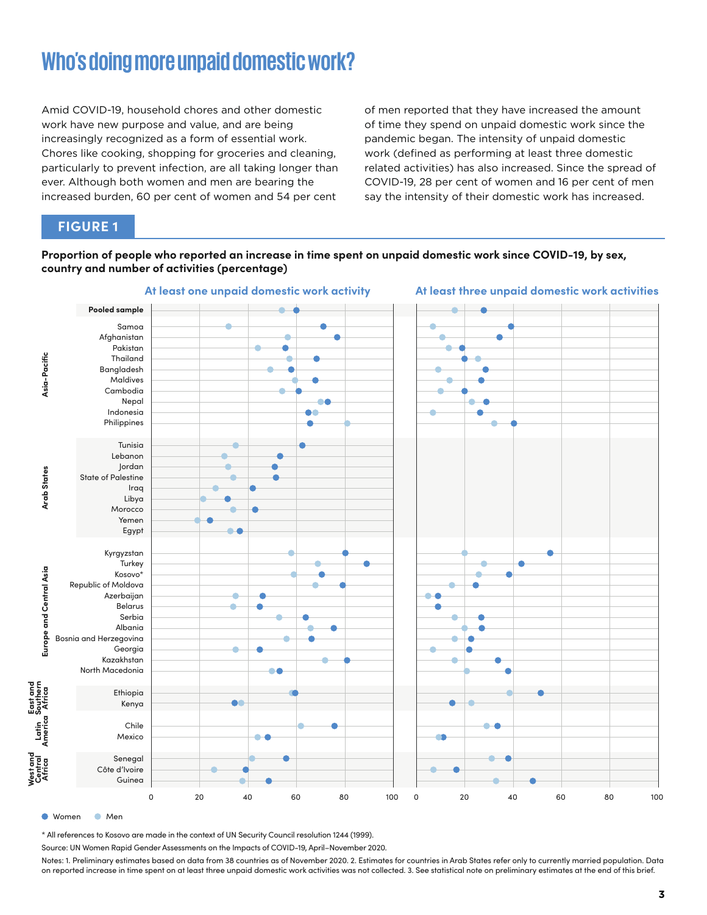# **Who's doing more unpaid domestic work?**

Amid COVID-19, household chores and other domestic work have new purpose and value, and are being increasingly recognized as a form of essential work. Chores like cooking, shopping for groceries and cleaning, particularly to prevent infection, are all taking longer than ever. Although both women and men are bearing the increased burden, 60 per cent of women and 54 per cent

of men reported that they have increased the amount of time they spend on unpaid domestic work since the pandemic began. The intensity of unpaid domestic work (defined as performing at least three domestic related activities) has also increased. Since the spread of COVID-19, 28 per cent of women and 16 per cent of men say the intensity of their domestic work has increased.

### **FIGURE 1**

**Proportion of people who reported an increase in time spent on unpaid domestic work since COVID-19, by sex, country and number of activities (percentage)**



● Women ● Men

\* All references to Kosovo are made in the context of UN Security Council resolution 1244 (1999).

Source: UN Women Rapid Gender Assessments on the Impacts of COVID-19, April–November 2020.

Notes: 1. Preliminary estimates based on data from 38 countries as of November 2020. 2. Estimates for countries in Arab States refer only to currently married population. Data on reported increase in time spent on at least three unpaid domestic work activities was not collected. 3. See statistical note on preliminary estimates at the end of this brief.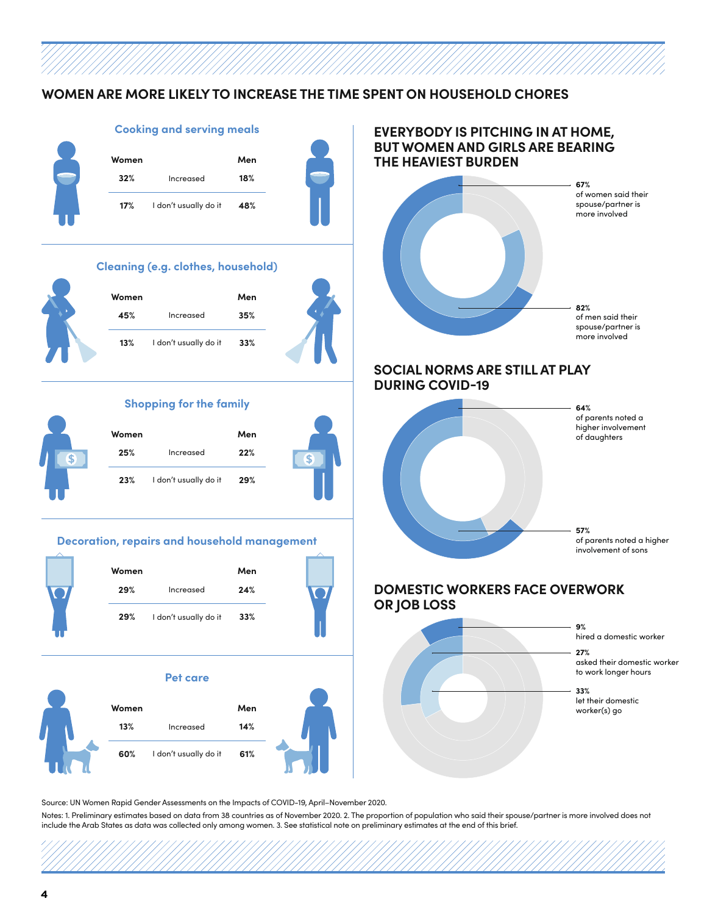### **WOMEN ARE MORE LIKELY TO INCREASE THE TIME SPENT ON HOUSEHOLD CHORES**



Source: UN Women Rapid Gender Assessments on the Impacts of COVID-19, April–November 2020.

Notes: 1. Preliminary estimates based on data from 38 countries as of November 2020. 2. The proportion of population who said their spouse/partner is more involved does not include the Arab States as data was collected only among women. 3. See statistical note on preliminary estimates at the end of this brief.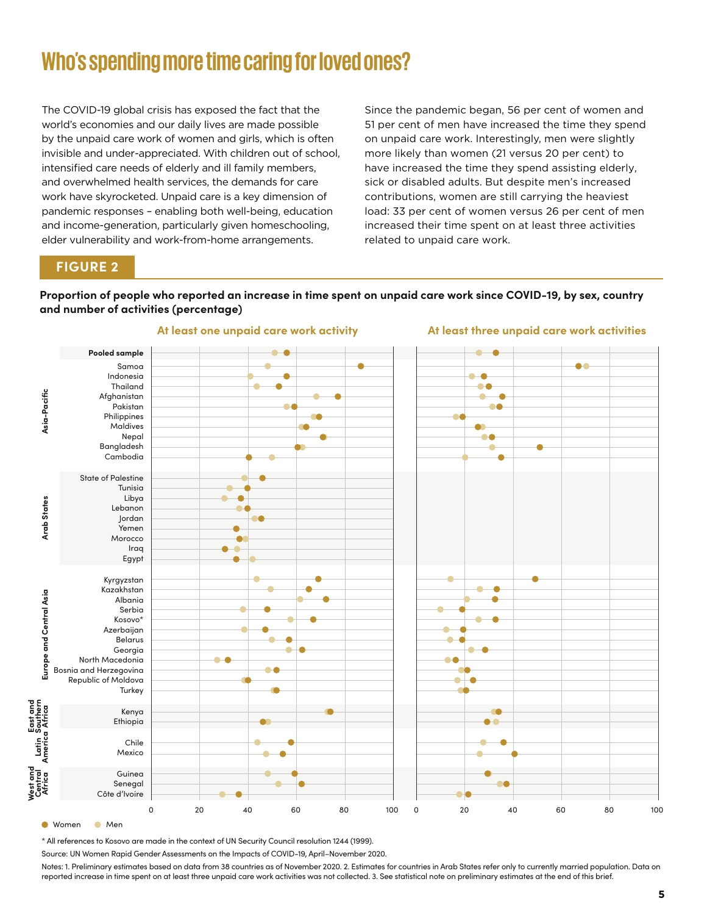# **Who's spending more time caring for loved ones?**

The COVID-19 global crisis has exposed the fact that the world's economies and our daily lives are made possible by the unpaid care work of women and girls, which is often invisible and under-appreciated. With children out of school, intensified care needs of elderly and ill family members, and overwhelmed health services, the demands for care work have skyrocketed. Unpaid care is a key dimension of pandemic responses – enabling both well-being, education and income-generation, particularly given homeschooling, elder vulnerability and work-from-home arrangements.

Since the pandemic began, 56 per cent of women and 51 per cent of men have increased the time they spend on unpaid care work. Interestingly, men were slightly more likely than women (21 versus 20 per cent) to have increased the time they spend assisting elderly, sick or disabled adults. But despite men's increased contributions, women are still carrying the heaviest load: 33 per cent of women versus 26 per cent of men increased their time spent on at least three activities related to unpaid care work.

**At least three unpaid care work activities**

### **FIGURE 2**

#### **Proportion of people who reported an increase in time spent on unpaid care work since COVID-19, by sex, country and number of activities (percentage)**



**At least one unpaid care work activity**

\* All references to Kosovo are made in the context of UN Security Council resolution 1244 (1999).

Source: UN Women Rapid Gender Assessments on the Impacts of COVID-19, April–November 2020.

Notes: 1. Preliminary estimates based on data from 38 countries as of November 2020. 2. Estimates for countries in Arab States refer only to currently married population. Data on reported increase in time spent on at least three unpaid care work activities was not collected. 3. See statistical note on preliminary estimates at the end of this brief.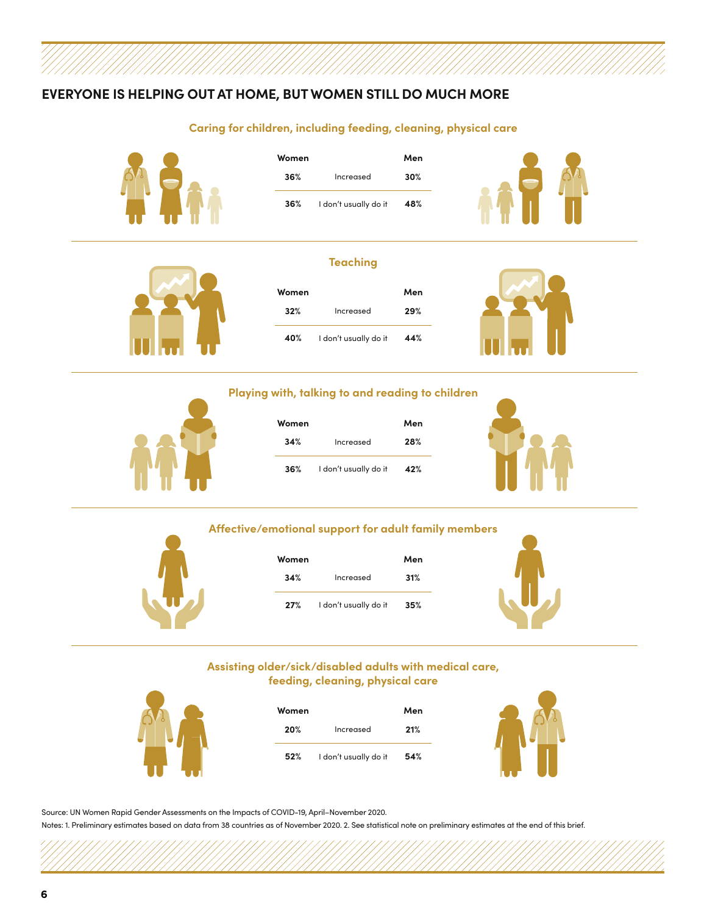# **EVERYONE IS HELPING OUT AT HOME, BUT WOMEN STILL DO MUCH MORE**

#### **Caring for children, including feeding, cleaning, physical care**



| Women |                       | Men |
|-------|-----------------------|-----|
| 36%   | Increased             | 30% |
| 36%   | I don't usually do it | 48% |



#### **Teaching**



| Women |                       | Men |
|-------|-----------------------|-----|
| 32%   | Increased             | 29% |
| 40%   | I don't usually do it | 44% |



#### **Playing with, talking to and reading to children**



| Women |                       | Men |
|-------|-----------------------|-----|
| 34%   | Increased             | 28% |
| 36%   | I don't usually do it | 42% |



#### **Affective/emotional support for adult family members**



| Women |                       | Men |  |
|-------|-----------------------|-----|--|
| 34%   | Increased             | 31% |  |
| 27%   | I don't usually do it | 35% |  |



#### **Assisting older/sick/disabled adults with medical care, feeding, cleaning, physical care**



| Women |                       | Men |
|-------|-----------------------|-----|
| 20%   | Increased             | 21% |
| 52%   | I don't usually do it | 54% |



Source: UN Women Rapid Gender Assessments on the Impacts of COVID-19, April–November 2020.

Notes: 1. Preliminary estimates based on data from 38 countries as of November 2020. 2. See statistical note on preliminary estimates at the end of this brief.

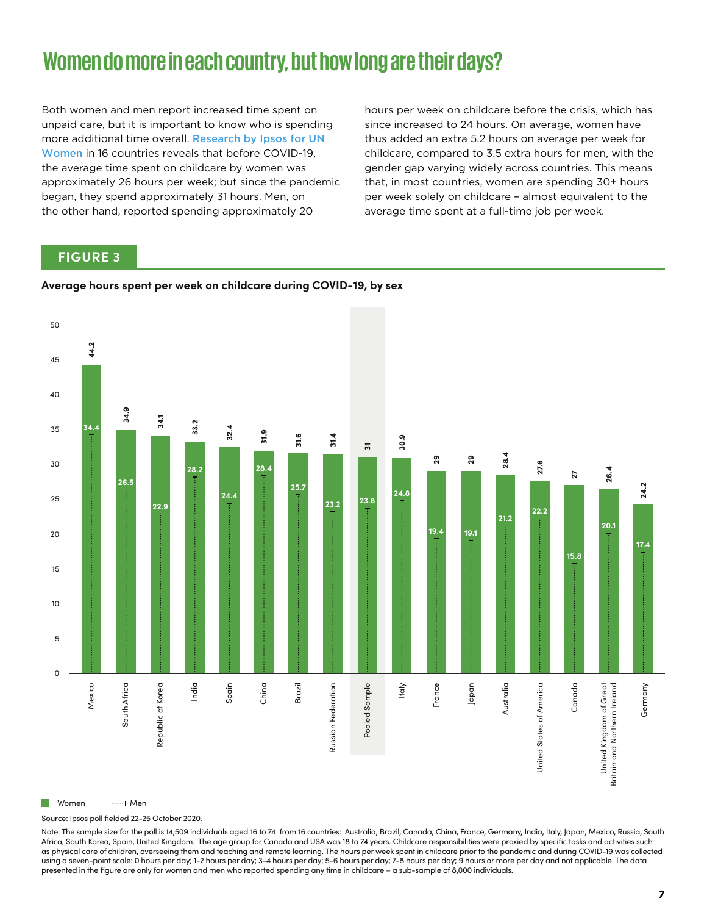# **Women do more in each country, but how long are their days?**

Both women and men report increased time spent on unpaid care, but it is important to know who is spending more additional time overall. Research by Ipsos for UN Women [in 16 countries reveals that before COVID-19,](https://data.unwomen.org/features/covid-19-pandemic-has-increased-care-burden-how-much)  the average time spent on childcare by women was approximately 26 hours per week; but since the pandemic began, they spend approximately 31 hours. Men, on the other hand, reported spending approximately 20

hours per week on childcare before the crisis, which has since increased to 24 hours. On average, women have thus added an extra 5.2 hours on average per week for childcare, compared to 3.5 extra hours for men, with the gender gap varying widely across countries. This means that, in most countries, women are spending 30+ hours per week solely on childcare – almost equivalent to the average time spent at a full-time job per week.

### **FIGURE 3**

#### **Average hours spent per week on childcare during COVID-19, by sex**



Source: Ipsos poll fielded 22-25 October 2020.

Note: The sample size for the poll is 14,509 individuals aged 16 to 74 from 16 countries: Australia, Brazil, Canada, China, France, Germany, India, Italy, Japan, Mexico, Russia, South Africa, South Korea, Spain, United Kingdom. The age group for Canada and USA was 18 to 74 years. Childcare responsibilities were proxied by specific tasks and activities such as physical care of children, overseeing them and teaching and remote learning. The hours per week spent in childcare prior to the pandemic and during COVID-19 was collected using a seven-point scale: 0 hours per day; 1-2 hours per day; 3-4 hours per day; 5-6 hours per day; 7-8 hours per day; 9 hours or more per day and not applicable. The data presented in the figure are only for women and men who reported spending any time in childcare – a sub-sample of 8,000 individuals.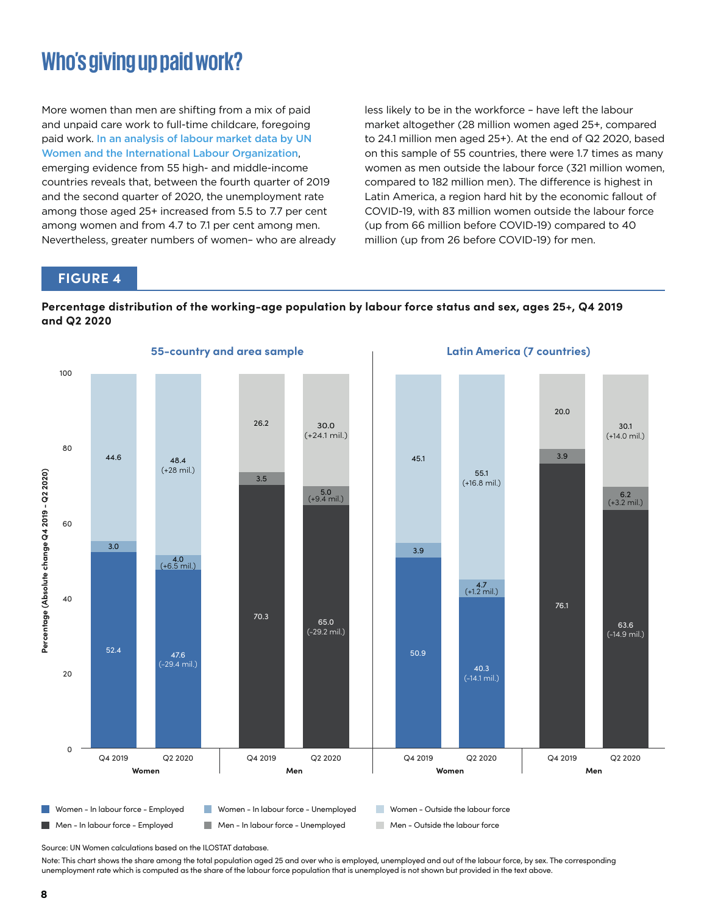# **Who's giving up paid work?**

More women than men are shifting from a mix of paid and unpaid care work to full-time childcare, foregoing paid work. In an analysis of labour market data by UN [Women and the International Labour Organization](https://data.unwomen.org/features/fallout-covid-19-working-moms-are-being-squeezed-out-labour-force), emerging evidence from 55 high- and middle-income countries reveals that, between the fourth quarter of 2019 and the second quarter of 2020, the unemployment rate among those aged 25+ increased from 5.5 to 7.7 per cent among women and from 4.7 to 7.1 per cent among men. Nevertheless, greater numbers of women– who are already less likely to be in the workforce – have left the labour market altogether (28 million women aged 25+, compared to 24.1 million men aged 25+). At the end of Q2 2020, based on this sample of 55 countries, there were 1.7 times as many women as men outside the labour force (321 million women, compared to 182 million men). The difference is highest in Latin America, a region hard hit by the economic fallout of COVID-19, with 83 million women outside the labour force (up from 66 million before COVID-19) compared to 40 million (up from 26 before COVID-19) for men.

### **FIGURE 4**





Source: UN Women calculations based on the ILOSTAT database.

Note: This chart shows the share among the total population aged 25 and over who is employed, unemployed and out of the labour force, by sex. The corresponding unemployment rate which is computed as the share of the labour force population that is unemployed is not shown but provided in the text above.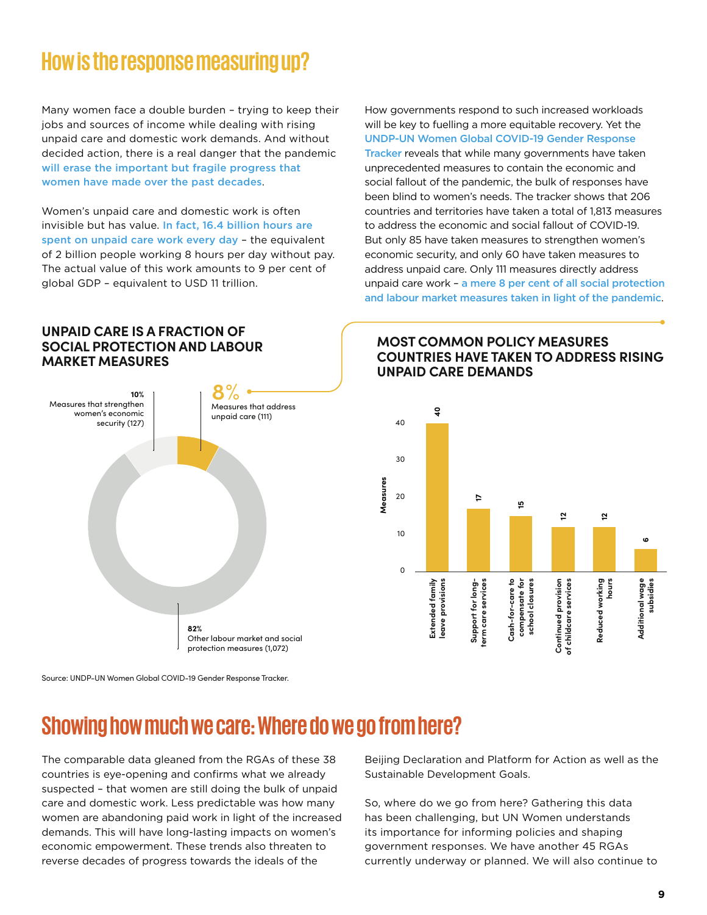# **How is the response measuring up?**

Many women face a double burden – trying to keep their jobs and sources of income while dealing with rising unpaid care and domestic work demands. And without decided action, there is a real danger that the pandemic [will erase the important but](https://data.unwomen.org/publications/progress-sustainable-development-goals-gender-snapshot-2020) [fragile progress that](https://data.unwomen.org/publications/progress-sustainable-development-goals-gender-snapshot-2020)  [women have made over the past decades](https://data.unwomen.org/publications/progress-sustainable-development-goals-gender-snapshot-2020).

Women's unpaid care and domestic work is often invisible but has value. In fact, 16.4 billion hours are [spent on unpaid care work every day](https://www.ilo.org/wcmsp5/groups/public/---dgreports/---dcomm/---publ/documents/publication/wcms_633135.pdf) – the equivalent of 2 billion people working 8 hours per day without pay. The actual value of this work amounts to 9 per cent of global GDP – equivalent to USD 11 trillion.

How governments respond to such increased workloads will be key to fuelling a more equitable recovery. Yet the [UNDP-UN Women Global COVID-19 Gender Response](https://data.undp.org/gendertracker/)  [Tracker](https://data.undp.org/gendertracker/) reveals that while many governments have taken unprecedented measures to contain the economic and social fallout of the pandemic, the bulk of responses have been blind to women's needs. The tracker shows that 206 countries and territories have taken a total of 1,813 measures to address the economic and social fallout of COVID-19. But only 85 have taken measures to strengthen women's economic security, and only 60 have taken measures to address unpaid care. Only 111 measures directly address unpaid care work – [a mere 8 per cent of all social protection](https://www.undp.org/content/undp/en/home/librarypage/womens-empowerment/COVID-19-Global-Gender-Response-Tracker.html)  [and labour market measures taken in light of the pandemic](https://www.undp.org/content/undp/en/home/librarypage/womens-empowerment/COVID-19-Global-Gender-Response-Tracker.html).

### **UNPAID CARE IS A FRACTION OF SOCIAL PROTECTION AND LABOUR MARKET MEASURES**



**MOST COMMON POLICY MEASURES COUNTRIES HAVE TAKEN TO ADDRESS RISING UNPAID CARE DEMANDS**



Source: UNDP-UN Women Global COVID-19 Gender Response Tracker.

# **Showing how much we care: Where do we go from here?**

The comparable data gleaned from the RGAs of these 38 countries is eye-opening and confirms what we already suspected – that women are still doing the bulk of unpaid care and domestic work. Less predictable was how many women are abandoning paid work in light of the increased demands. This will have long-lasting impacts on women's economic empowerment. These trends also threaten to reverse decades of progress towards the ideals of the

Beijing Declaration and Platform for Action as well as the Sustainable Development Goals.

So, where do we go from here? Gathering this data has been challenging, but UN Women understands its importance for informing policies and shaping government responses. We have another 45 RGAs